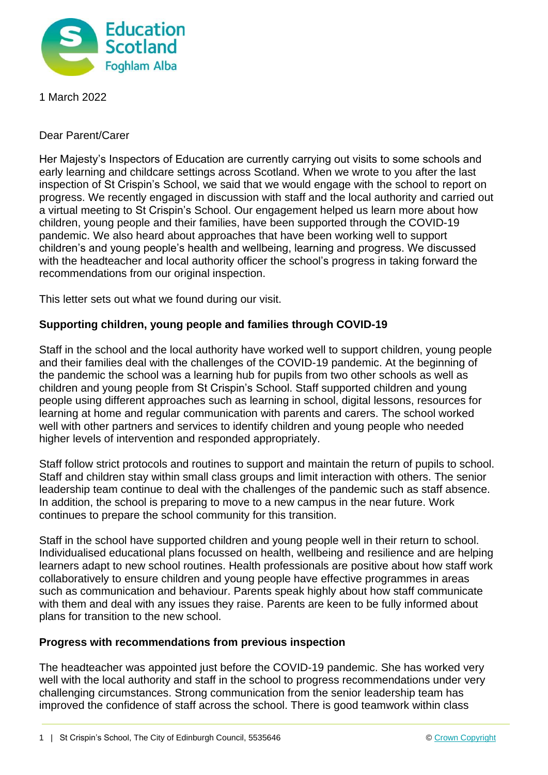

1 March 2022

Dear Parent/Carer

Her Majesty's Inspectors of Education are currently carrying out visits to some schools and early learning and childcare settings across Scotland. When we wrote to you after the last inspection of St Crispin's School, we said that we would engage with the school to report on progress. We recently engaged in discussion with staff and the local authority and carried out a virtual meeting to St Crispin's School. Our engagement helped us learn more about how children, young people and their families, have been supported through the COVID-19 pandemic. We also heard about approaches that have been working well to support children's and young people's health and wellbeing, learning and progress. We discussed with the headteacher and local authority officer the school's progress in taking forward the recommendations from our original inspection.

This letter sets out what we found during our visit.

## **Supporting children, young people and families through COVID-19**

Staff in the school and the local authority have worked well to support children, young people and their families deal with the challenges of the COVID-19 pandemic. At the beginning of the pandemic the school was a learning hub for pupils from two other schools as well as children and young people from St Crispin's School. Staff supported children and young people using different approaches such as learning in school, digital lessons, resources for learning at home and regular communication with parents and carers. The school worked well with other partners and services to identify children and young people who needed higher levels of intervention and responded appropriately.

Staff follow strict protocols and routines to support and maintain the return of pupils to school. Staff and children stay within small class groups and limit interaction with others. The senior leadership team continue to deal with the challenges of the pandemic such as staff absence. In addition, the school is preparing to move to a new campus in the near future. Work continues to prepare the school community for this transition.

Staff in the school have supported children and young people well in their return to school. Individualised educational plans focussed on health, wellbeing and resilience and are helping learners adapt to new school routines. Health professionals are positive about how staff work collaboratively to ensure children and young people have effective programmes in areas such as communication and behaviour. Parents speak highly about how staff communicate with them and deal with any issues they raise. Parents are keen to be fully informed about plans for transition to the new school.

## **Progress with recommendations from previous inspection**

The headteacher was appointed just before the COVID-19 pandemic. She has worked very well with the local authority and staff in the school to progress recommendations under very challenging circumstances. Strong communication from the senior leadership team has improved the confidence of staff across the school. There is good teamwork within class